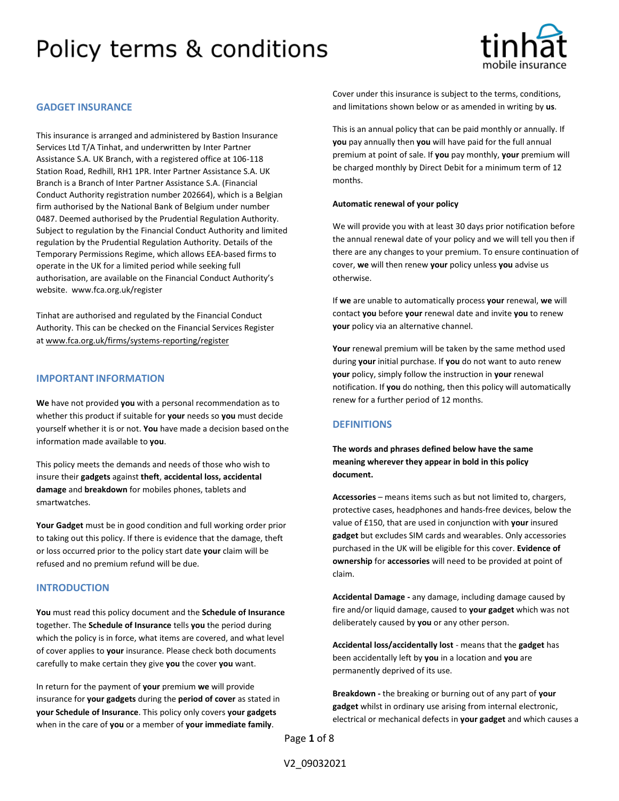

## **GADGET INSURANCE**

This insurance is arranged and administered by Bastion Insurance Services Ltd T/A Tinhat, and underwritten by Inter Partner Assistance S.A. UK Branch, with a registered office at 106-118 Station Road, Redhill, RH1 1PR. Inter Partner Assistance S.A. UK Branch is a Branch of Inter Partner Assistance S.A. (Financial Conduct Authority registration number 202664), which is a Belgian firm authorised by the National Bank of Belgium under number 0487. Deemed authorised by the Prudential Regulation Authority. Subject to regulation by the Financial Conduct Authority and limited regulation by the Prudential Regulation Authority. Details of the Temporary Permissions Regime, which allows EEA-based firms to operate in the UK for a limited period while seeking full authorisation, are available on the Financial Conduct Authority's website. [www.fca.org.uk/register](http://www.fca.org.uk/register)

Tinhat are authorised and regulated by the Financial Conduct Authority. This can be checked on the Financial Services Register a[t www.fca.org.uk/firms/systems-reporting/register](http://www.fca.org.uk/firms/systems-reporting/register)

### **IMPORTANT INFORMATION**

**We** have not provided **you** with a personal recommendation as to whether this product if suitable for **your** needs so **you** must decide yourself whether it is or not. **You** have made a decision based onthe information made available to **you**.

This policy meets the demands and needs of those who wish to insure their **gadgets** against **theft**, **accidental loss, accidental damage** and **breakdown** for mobiles phones, tablets and smartwatches.

**Your Gadget** must be in good condition and full working order prior to taking out this policy. If there is evidence that the damage, theft or loss occurred prior to the policy start date **your** claim will be refused and no premium refund will be due.

### **INTRODUCTION**

**You** must read this policy document and the **Schedule of Insurance**  together. The **Schedule of Insurance** tells **you** the period during which the policy is in force, what items are covered, and what level of cover applies to **your** insurance. Please check both documents carefully to make certain they give **you** the cover **you** want.

In return for the payment of **your** premium **we** will provide insurance for **your gadgets** during the **period of cover** as stated in **your Schedule of Insurance**. This policy only covers **your gadgets**  when in the care of **you** or a member of **your immediate family**.

Cover under this insurance is subject to the terms, conditions, and limitations shown below or as amended in writing by **us**.

This is an annual policy that can be paid monthly or annually. If **you** pay annually then **you** will have paid for the full annual premium at point of sale. If **you** pay monthly, **your** premium will be charged monthly by Direct Debit for a minimum term of 12 months.

#### **Automatic renewal of your policy**

We will provide you with at least 30 days prior notification before the annual renewal date of your policy and we will tell you then if there are any changes to your premium. To ensure continuation of cover, **we** will then renew **your** policy unless **you** advise us otherwise.

If **we** are unable to automatically process **your** renewal, **we** will contact **you** before **your** renewal date and invite **you** to renew **your** policy via an alternative channel.

Your renewal premium will be taken by the same method used during **your** initial purchase. If **you** do not want to auto renew **your** policy, simply follow the instruction in **your** renewal notification. If **you** do nothing, then this policy will automatically renew for a further period of 12 months.

## **DEFINITIONS**

**The words and phrases defined below have the same meaning wherever they appear in bold in this policy document.**

**Accessories** – means items such as but not limited to, chargers, protective cases, headphones and hands-free devices, below the value of £150, that are used in conjunction with **your** insured **gadget** but excludes SIM cards and wearables. Only accessories purchased in the UK will be eligible for this cover. **Evidence of ownership** for **accessories** will need to be provided at point of claim.

**Accidental Damage -** any damage, including damage caused by fire and/or liquid damage, caused to **your gadget** which was not deliberately caused by **you** or any other person.

**Accidental loss/accidentally lost** - means that the **gadget** has been accidentally left by **you** in a location and **you** are permanently deprived of its use.

**Breakdown -** the breaking or burning out of any part of **your gadget** whilst in ordinary use arising from internal electronic, electrical or mechanical defects in **your gadget** and which causes a

Page **1** of 8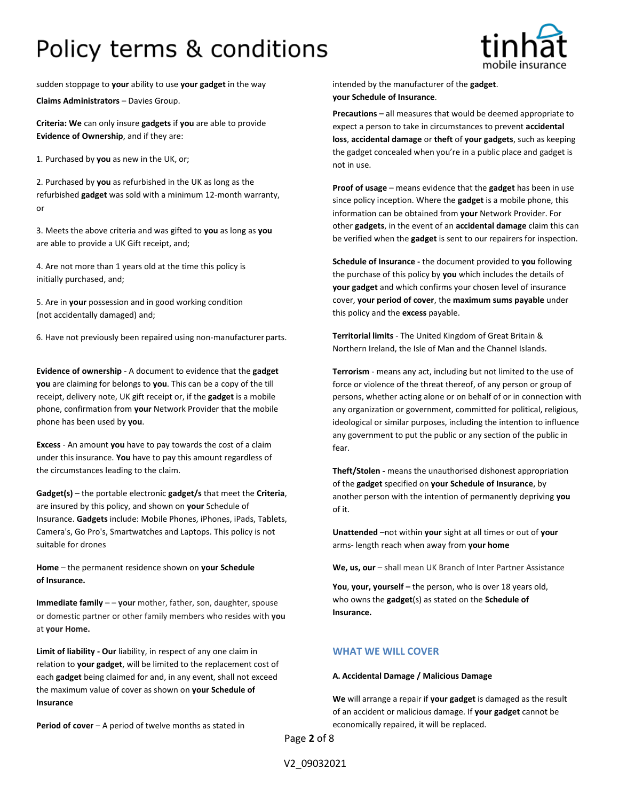

sudden stoppage to **your** ability to use **your gadget** in the way intended by the manufacturer of the **gadget**.

**Claims Administrators** – Davies Group.

**Criteria: We** can only insure **gadgets** if **you** are able to provide **Evidence of Ownership**, and if they are:

1. Purchased by **you** as new in the UK, or;

2. Purchased by **you** as refurbished in the UK as long as the refurbished **gadget** was sold with a minimum 12-month warranty, or

3. Meets the above criteria and was gifted to **you** as long as **you**  are able to provide a UK Gift receipt, and;

4. Are not more than 1 years old at the time this policy is initially purchased, and;

5. Are in **your** possession and in good working condition (not accidentally damaged) and;

6. Have not previously been repaired using non-manufacturer parts.

**Evidence of ownership** - A document to evidence that the **gadget you** are claiming for belongs to **you**. This can be a copy of the till receipt, delivery note, UK gift receipt or, if the **gadget** is a mobile phone, confirmation from **your** Network Provider that the mobile phone has been used by **you**.

**Excess** - An amount **you** have to pay towards the cost of a claim under this insurance. **You** have to pay this amount regardless of the circumstances leading to the claim.

**Gadget(s)** – the portable electronic **gadget/s** that meet the **Criteria**, are insured by this policy, and shown on **your** Schedule of Insurance. **Gadgets** include: Mobile Phones, iPhones, iPads, Tablets, Camera's, Go Pro's, Smartwatches and Laptops. This policy is not suitable for drones

**Home** – the permanent residence shown on **your Schedule of Insurance.**

**Immediate family - - your** mother, father, son, daughter, spouse or domestic partner or other family members who resides with **you**  at **your Home.**

**Limit of liability - Our** liability, in respect of any one claim in relation to **your gadget**, will be limited to the replacement cost of each **gadget** being claimed for and, in any event, shall not exceed the maximum value of cover as shown on **your Schedule of Insurance**

**Period of cover** – A period of twelve months as stated in

**your Schedule of Insurance**.

**Precautions –** all measures that would be deemed appropriate to expect a person to take in circumstances to prevent **accidental loss**, **accidental damage** or **theft** of **your gadgets**, such as keeping the gadget concealed when you're in a public place and gadget is not in use.

**Proof of usage** – means evidence that the **gadget** has been in use since policy inception. Where the **gadget** is a mobile phone, this information can be obtained from **your** Network Provider. For other **gadgets**, in the event of an **accidental damage** claim this can be verified when the **gadget** is sent to our repairers for inspection.

**Schedule of Insurance -** the document provided to **you** following the purchase of this policy by **you** which includes the details of **your gadget** and which confirms your chosen level of insurance cover, **your period of cover**, the **maximum sums payable** under this policy and the **excess** payable.

**Territorial limits** - The United Kingdom of Great Britain & Northern Ireland, the Isle of Man and the Channel Islands.

**Terrorism** - means any act, including but not limited to the use of force or violence of the threat thereof, of any person or group of persons, whether acting alone or on behalf of or in connection with any organization or government, committed for political, religious, ideological or similar purposes, including the intention to influence any government to put the public or any section of the public in fear.

**Theft/Stolen -** means the unauthorised dishonest appropriation of the **gadget** specified on **your Schedule of Insurance**, by another person with the intention of permanently depriving **you**  of it.

**Unattended** –not within **your** sight at all times or out of **your**  arms- length reach when away from **your home**

We, us, our - shall mean UK Branch of Inter Partner Assistance

**You**, **your, yourself –** the person, who is over 18 years old, who owns the **gadget**(s) as stated on the **Schedule of Insurance.**

## **WHAT WE WILL COVER**

### **A. Accidental Damage / Malicious Damage**

**We** will arrange a repair if **your gadget** is damaged as the result of an accident or malicious damage. If **your gadget** cannot be economically repaired, it will be replaced.

Page **2** of 8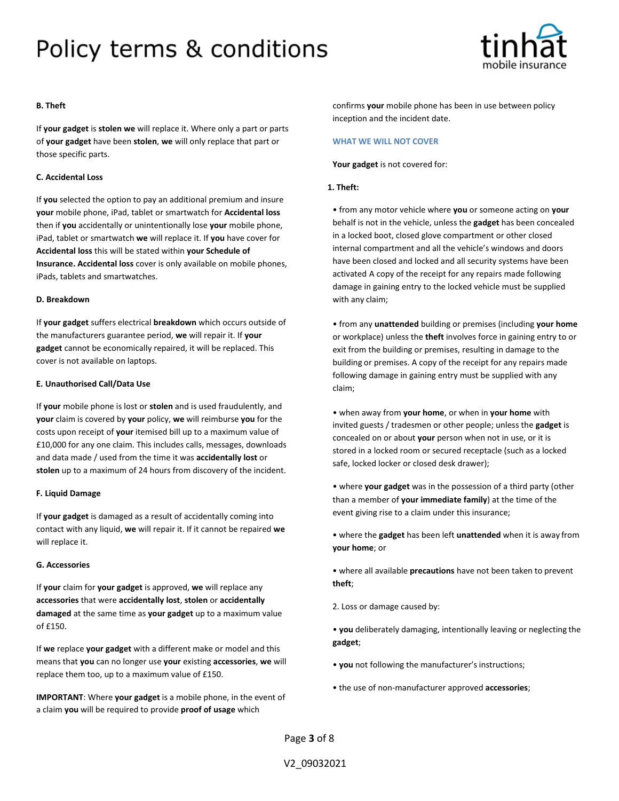

## **B. Theft**

If **your gadget** is **stolen we** will replace it. Where only a part or parts of **your gadget** have been **stolen**, **we** will only replace that part or those specific parts.

### **C. Accidental Loss**

If **you** selected the option to pay an additional premium and insure **your** mobile phone, iPad, tablet or smartwatch for **Accidental loss**  then if **you** accidentally or unintentionally lose **your** mobile phone, iPad, tablet or smartwatch **we** will replace it. If **you** have cover for **Accidental loss** this will be stated within **your Schedule of Insurance. Accidental loss** cover is only available on mobile phones, iPads, tablets and smartwatches.

### **D. Breakdown**

If **your gadget** suffers electrical **breakdown** which occurs outside of the manufacturers guarantee period, **we** will repair it. If **your gadget** cannot be economically repaired, it will be replaced. This cover is not available on laptops.

### **E. Unauthorised Call/Data Use**

If **your** mobile phone is lost or **stolen** and is used fraudulently, and **your** claim is covered by **your** policy, **we** will reimburse **you** for the costs upon receipt of **your** itemised bill up to a maximum value of £10,000 for any one claim. This includes calls, messages, downloads and data made / used from the time it was **accidentally lost** or **stolen** up to a maximum of 24 hours from discovery of the incident.

#### **F. Liquid Damage**

If **your gadget** is damaged as a result of accidentally coming into contact with any liquid, **we** will repair it. If it cannot be repaired **we**  will replace it.

### **G. Accessories**

If **your** claim for **your gadget** is approved, **we** will replace any **accessories** that were **accidentally lost**, **stolen** or **accidentally damaged** at the same time as **your gadget** up to a maximum value of £150.

If **we** replace **your gadget** with a different make or model and this means that **you** can no longer use **your** existing **accessories**, **we** will replace them too, up to a maximum value of £150.

**IMPORTANT**: Where **your gadget** is a mobile phone, in the event of a claim **you** will be required to provide **proof of usage** which

confirms **your** mobile phone has been in use between policy inception and the incident date.

#### **WHAT WE WILL NOT COVER**

**Your gadget** is not covered for:

### **1. Theft:**

• from any motor vehicle where **you** or someone acting on **your**  behalf is not in the vehicle, unless the **gadget** has been concealed in a locked boot, closed glove compartment or other closed internal compartment and all the vehicle's windows and doors have been closed and locked and all security systems have been activated A copy of the receipt for any repairs made following damage in gaining entry to the locked vehicle must be supplied with any claim;

• from any **unattended** building or premises (including **your home**  or workplace) unless the **theft** involves force in gaining entry to or exit from the building or premises, resulting in damage to the building or premises. A copy of the receipt for any repairs made following damage in gaining entry must be supplied with any claim;

• when away from **your home**, or when in **your home** with invited guests / tradesmen or other people; unless the **gadget** is concealed on or about **your** person when not in use, or it is stored in a locked room or secured receptacle (such as a locked safe, locked locker or closed desk drawer);

• where **your gadget** was in the possession of a third party (other than a member of **your immediate family**) at the time of the event giving rise to a claim under this insurance;

• where the **gadget** has been left **unattended** when it is away from **your home**; or

• where all available **precautions** have not been taken to prevent **theft**;

2. Loss or damage caused by:

• **you** deliberately damaging, intentionally leaving or neglecting the **gadget**;

- you not following the manufacturer's instructions;
- the use of non-manufacturer approved **accessories**;

Page **3** of 8

V2\_09032021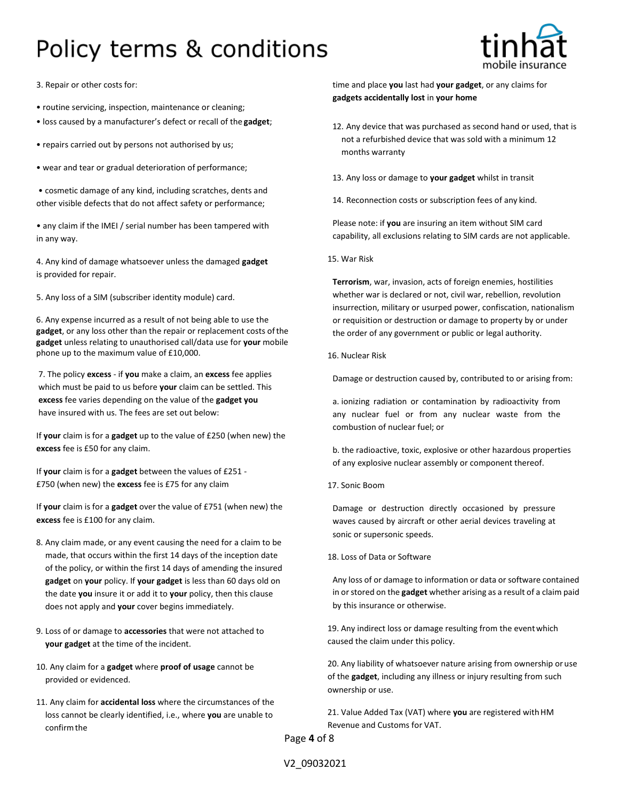

3. Repair or other costs for:

- routine servicing, inspection, maintenance or cleaning;
- loss caused by a manufacturer's defect or recall of the **gadget**;
- repairs carried out by persons not authorised by us;
- wear and tear or gradual deterioration of performance;
- cosmetic damage of any kind, including scratches, dents and other visible defects that do not affect safety or performance;

• any claim if the IMEI / serial number has been tampered with in any way.

4. Any kind of damage whatsoever unless the damaged **gadget**  is provided for repair.

5. Any loss of a SIM (subscriber identity module) card.

6. Any expense incurred as a result of not being able to use the **gadget**, or any loss other than the repair or replacement costs ofthe **gadget** unless relating to unauthorised call/data use for **your** mobile phone up to the maximum value of £10,000.

7. The policy **excess** - if **you** make a claim, an **excess** fee applies which must be paid to us before **your** claim can be settled. This **excess** fee varies depending on the value of the **gadget you**  have insured with us. The fees are set out below:

If **your** claim is for a **gadget** up to the value of £250 (when new) the **excess** fee is £50 for any claim.

If **your** claim is for a **gadget** between the values of £251 - £750 (when new) the **excess** fee is £75 for any claim

If **your** claim is for a **gadget** over the value of £751 (when new) the **excess** fee is £100 for any claim.

- 8. Any claim made, or any event causing the need for a claim to be made, that occurs within the first 14 days of the inception date of the policy, or within the first 14 days of amending the insured **gadget** on **your** policy. If **your gadget** is less than 60 days old on the date **you** insure it or add it to **your** policy, then this clause does not apply and **your** cover begins immediately.
- 9. Loss of or damage to **accessories** that were not attached to **your gadget** at the time of the incident.
- 10. Any claim for a **gadget** where **proof of usage** cannot be provided or evidenced.
- 11. Any claim for **accidental loss** where the circumstances of the loss cannot be clearly identified, i.e., where **you** are unable to confirmthe

time and place **you** last had **your gadget**, or any claims for **gadgets accidentally lost** in **your home**

- 12. Any device that was purchased as second hand or used, that is not a refurbished device that was sold with a minimum 12 months warranty
- 13. Any loss or damage to **your gadget** whilst in transit
- 14. Reconnection costs or subscription fees of any kind.

Please note: if **you** are insuring an item without SIM card capability, all exclusions relating to SIM cards are not applicable.

15. War Risk

**Terrorism**, war, invasion, acts of foreign enemies, hostilities whether war is declared or not, civil war, rebellion, revolution insurrection, military or usurped power, confiscation, nationalism or requisition or destruction or damage to property by or under the order of any government or public or legal authority.

16. Nuclear Risk

Damage or destruction caused by, contributed to or arising from:

a. ionizing radiation or contamination by radioactivity from any nuclear fuel or from any nuclear waste from the combustion of nuclear fuel; or

b. the radioactive, toxic, explosive or other hazardous properties of any explosive nuclear assembly or component thereof.

17. Sonic Boom

Damage or destruction directly occasioned by pressure waves caused by aircraft or other aerial devices traveling at sonic or supersonic speeds.

### 18. Loss of Data or Software

Any loss of or damage to information or data or software contained in or stored on the **gadget** whether arising as a result of a claim paid by this insurance or otherwise.

19. Any indirect loss or damage resulting from the eventwhich caused the claim under this policy.

20. Any liability of whatsoever nature arising from ownership or use of the **gadget**, including any illness or injury resulting from such ownership or use.

21. Value Added Tax (VAT) where **you** are registered withHM Revenue and Customs for VAT.

Page **4** of 8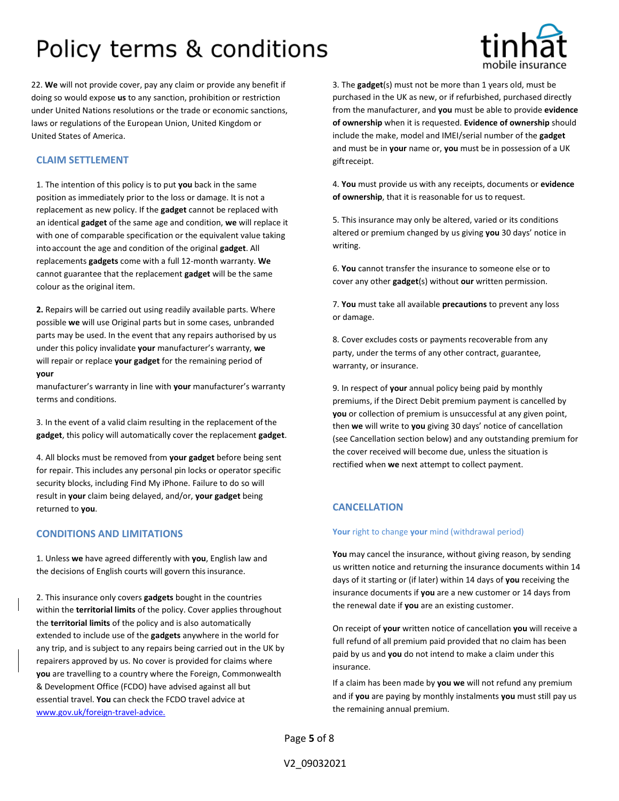

22. **We** will not provide cover, pay any claim or provide any benefit if doing so would expose **us** to any sanction, prohibition or restriction under United Nations resolutions or the trade or economic sanctions, laws or regulations of the European Union, United Kingdom or United States of America.

## **CLAIM SETTLEMENT**

1. The intention of this policy is to put **you** back in the same position as immediately prior to the loss or damage. It is not a replacement as new policy. If the **gadget** cannot be replaced with an identical **gadget** of the same age and condition, **we** will replace it with one of comparable specification or the equivalent value taking intoaccount the age and condition of the original **gadget**. All replacements **gadgets** come with a full 12-month warranty. **We**  cannot guarantee that the replacement **gadget** will be the same colour as the original item.

**2.** Repairs will be carried out using readily available parts. Where possible **we** will use Original parts but in some cases, unbranded parts may be used. In the event that any repairs authorised by us under this policy invalidate **your** manufacturer's warranty, **we**  will repair or replace **your gadget** for the remaining period of **your**

manufacturer's warranty in line with **your** manufacturer's warranty terms and conditions.

3. In the event of a valid claim resulting in the replacement ofthe **gadget**, this policy will automatically cover the replacement **gadget**.

4. All blocks must be removed from **your gadget** before being sent for repair. This includes any personal pin locks or operator specific security blocks, including Find My iPhone. Failure to do so will result in **your** claim being delayed, and/or, **your gadget** being returned to **you**.

## **CONDITIONS AND LIMITATIONS**

1. Unless **we** have agreed differently with **you**, English law and the decisions of English courts will govern this insurance.

2. This insurance only covers **gadgets** bought in the countries within the **territorial limits** of the policy. Cover applies throughout the **territorial limits** of the policy and is also automatically extended to include use of the **gadgets** anywhere in the world for any trip, and is subject to any repairs being carried out in the UK by repairers approved by us. No cover is provided for claims where **you** are travelling to a country where the Foreign, Commonwealth & Development Office (FCDO) have advised against all but essential travel. **You** can check the FCDO travel advice at [www.gov.uk/foreign-travel-advice.](http://www.gov.uk/foreign-travel-advice.)

3. The **gadget**(s) must not be more than 1 years old, must be purchased in the UK as new, or if refurbished, purchased directly from the manufacturer, and **you** must be able to provide **evidence of ownership** when it is requested. **Evidence of ownership** should include the make, model and IMEI/serial number of the **gadget**  and must be in **your** name or, **you** must be in possession of a UK giftreceipt.

4. **You** must provide us with any receipts, documents or **evidence of ownership**, that it is reasonable for us to request.

5. This insurance may only be altered, varied or its conditions altered or premium changed by us giving **you** 30 days' notice in writing.

6. **You** cannot transfer the insurance to someone else or to cover any other **gadget**(s) without **our** written permission.

7. **You** must take all available **precautions** to prevent any loss or damage.

8. Cover excludes costs or payments recoverable from any party, under the terms of any other contract, guarantee, warranty, or insurance.

9. In respect of **your** annual policy being paid by monthly premiums, if the Direct Debit premium payment is cancelled by **you** or collection of premium is unsuccessful at any given point, then **we** will write to **you** giving 30 days' notice of cancellation (see Cancellation section below) and any outstanding premium for the cover received will become due, unless the situation is rectified when **we** next attempt to collect payment.

## **CANCELLATION**

### **Your** right to change **your** mind (withdrawal period)

**You** may cancel the insurance, without giving reason, by sending us written notice and returning the insurance documents within 14 days of it starting or (if later) within 14 days of **you** receiving the insurance documents if **you** are a new customer or 14 days from the renewal date if **you** are an existing customer.

On receipt of **your** written notice of cancellation **you** will receive a full refund of all premium paid provided that no claim has been paid by us and **you** do not intend to make a claim under this insurance.

If a claim has been made by **you we** will not refund any premium and if **you** are paying by monthly instalments **you** must still pay us the remaining annual premium.

Page **5** of 8

V2\_09032021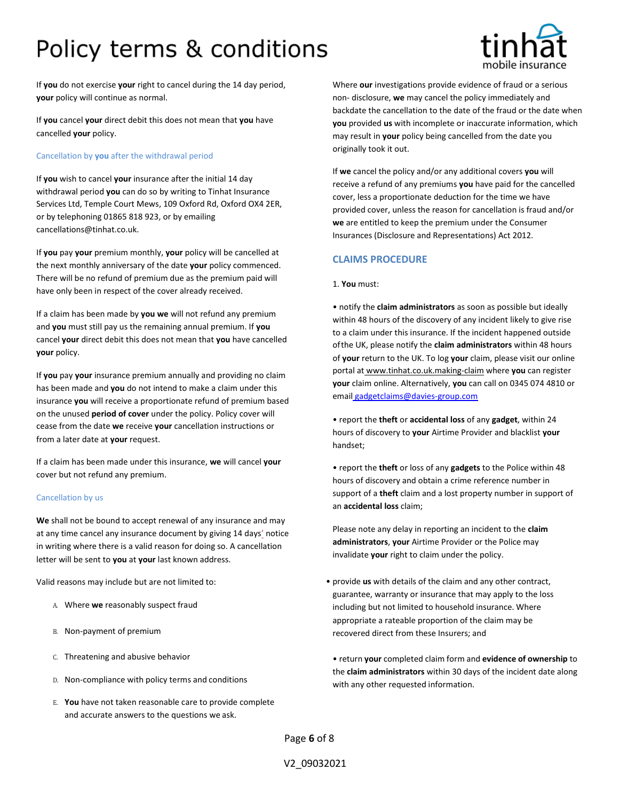

If **you** do not exercise **your** right to cancel during the 14 day period, **your** policy will continue as normal.

If **you** cancel **your** direct debit this does not mean that **you** have cancelled **your** policy.

### Cancellation by **you** after the withdrawal period

If **you** wish to cancel **your** insurance after the initial 14 day withdrawal period **you** can do so by writing to Tinhat Insurance Services Ltd, Temple Court Mews, 109 Oxford Rd, Oxford OX4 2ER, or by telephoning 01865 818 923, or by emailin[g](mailto:cancellations@tinhat.co.uk) [cancellations@tinhat.co.uk.](mailto:cancellations@tinhat.co.uk)

If **you** pay **your** premium monthly, **your** policy will be cancelled at the next monthly anniversary of the date **your** policy commenced. There will be no refund of premium due as the premium paid will have only been in respect of the cover already received.

If a claim has been made by **you we** will not refund any premium and **you** must still pay us the remaining annual premium. If **you**  cancel **your** direct debit this does not mean that **you** have cancelled **your** policy.

If **you** pay **your** insurance premium annually and providing no claim has been made and **you** do not intend to make a claim under this insurance **you** will receive a proportionate refund of premium based on the unused **period of cover** under the policy. Policy cover will cease from the date **we** receive **your** cancellation instructions or from a later date at **your** request.

If a claim has been made under this insurance, **we** will cancel **your** cover but not refund any premium.

## Cancellation by us

**We** shall not be bound to accept renewal of any insurance and may at any time cancel any insurance document by giving 14 days' notice in writing where there is a valid reason for doing so. A cancellation letter will be sent to **you** at **your** last known address.

Valid reasons may include but are not limited to:

- A. Where **we** reasonably suspect fraud
- B. Non-payment of premium
- C. Threatening and abusive behavior
- D. Non-compliance with policy terms and conditions
- E. **You** have not taken reasonable care to provide complete and accurate answers to the questions we ask.

Where **our** investigations provide evidence of fraud or a serious non- disclosure, **we** may cancel the policy immediately and backdate the cancellation to the date of the fraud or the date when **you** provided **us** with incomplete or inaccurate information, which may result in **your** policy being cancelled from the date you originally took it out.

If **we** cancel the policy and/or any additional covers **you** will receive a refund of any premiums **you** have paid for the cancelled cover, less a proportionate deduction for the time we have provided cover, unless the reason for cancellation is fraud and/or **we** are entitled to keep the premium under the Consumer Insurances (Disclosure and Representations) Act 2012.

## **CLAIMS PROCEDURE**

### 1. **You** must:

• notify the **claim administrators** as soon as possible but ideally within 48 hours of the discovery of any incident likely to give rise to a claim under this insurance. If the incident happened outside ofthe UK, please notify the **claim administrators** within 48 hours of **your** return to the UK. To log **your** claim, please visit our online portal at [www.tinhat.co.uk.making-claim](http://www.tinhat.co.uk.making-claim/) where **you** can register **your** claim online. Alternatively, **you** can call on 0345 074 4810 or email [gadgetclaims@davies-group.com](mailto:%20gadgetclaims@davies-group.com)

• report the **theft** or **accidental loss** of any **gadget**, within 24 hours of discovery to **your** Airtime Provider and blacklist **your** handset;

• report the **theft** or loss of any **gadgets** to the Police within 48 hours of discovery and obtain a crime reference number in support of a **theft** claim and a lost property number in support of an **accidental loss** claim;

Please note any delay in reporting an incident to the **claim administrators**, **your** Airtime Provider or the Police may invalidate **your** right to claim under the policy.

• provide **us** with details of the claim and any other contract, guarantee, warranty or insurance that may apply to the loss including but not limited to household insurance. Where appropriate a rateable proportion of the claim may be recovered direct from these Insurers; and

• return **your** completed claim form and **evidence of ownership** to the **claim administrators** within 30 days of the incident date along with any other requested information.

Page **6** of 8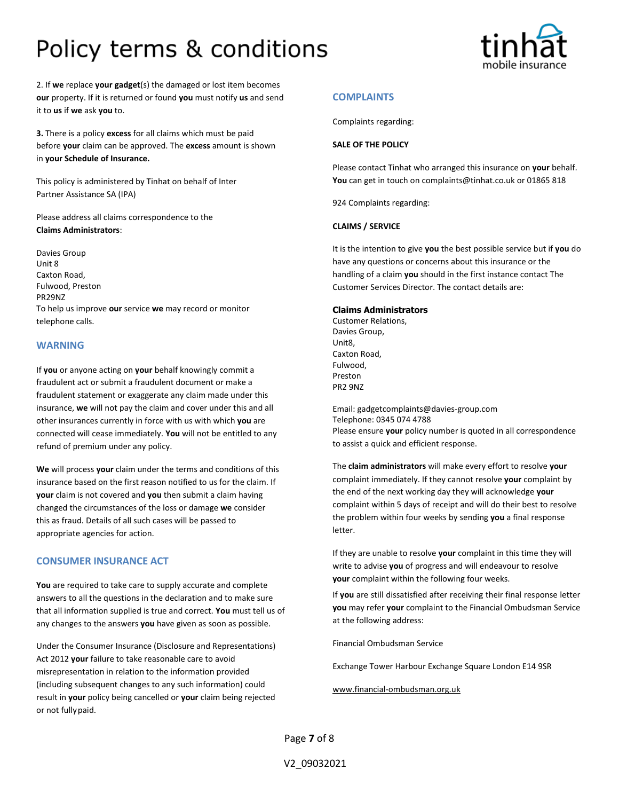

2. If **we** replace **your gadget**(s) the damaged or lost item becomes **our** property. If it is returned or found **you** must notify **us** and send it to **us** if **we** ask **you** to.

**3.** There is a policy **excess** for all claims which must be paid before **your** claim can be approved. The **excess** amount is shown in **your Schedule of Insurance.**

This policy is administered by Tinhat on behalf of Inter Partner Assistance SA (IPA)

Please address all claims correspondence to the **Claims Administrators**:

Davies Group Unit 8 Caxton Road, Fulwood, Preston PR29NZ To help us improve **our** service **we** may record or monitor telephone calls.

## **WARNING**

If **you** or anyone acting on **your** behalf knowingly commit a fraudulent act or submit a fraudulent document or make a fraudulent statement or exaggerate any claim made under this insurance, **we** will not pay the claim and cover under this and all other insurances currently in force with us with which **you** are connected will cease immediately. **You** will not be entitled to any refund of premium under any policy.

**We** will process **your** claim under the terms and conditions of this insurance based on the first reason notified to us for the claim. If **your** claim is not covered and **you** then submit a claim having changed the circumstances of the loss or damage **we** consider this as fraud. Details of all such cases will be passed to appropriate agencies for action.

## **CONSUMER INSURANCE ACT**

**You** are required to take care to supply accurate and complete answers to all the questions in the declaration and to make sure that all information supplied is true and correct. **You** must tell us of any changes to the answers **you** have given as soon as possible.

Under the Consumer Insurance (Disclosure and Representations) Act 2012 **your** failure to take reasonable care to avoid misrepresentation in relation to the information provided (including subsequent changes to any such information) could result in **your** policy being cancelled or **your** claim being rejected or not fullypaid.

## **COMPLAINTS**

Complaints regarding:

## **SALE OF THE POLICY**

Please contact Tinhat who arranged this insurance on **your** behalf. **You** can get in touch o[n complaints@tinhat.co.uk o](mailto:complaints@tinhat.co.uk)r 01865 818

924 Complaints regarding:

### **CLAIMS / SERVICE**

It is the intention to give **you** the best possible service but if **you** do have any questions or concerns about this insurance or the handling of a claim **you** should in the first instance contact The Customer Services Director. The contact details are:

### **Claims Administrators**

Customer Relations, Davies Group, Unit8, Caxton Road, Fulwood, Preston PR2 9NZ

Email[: gadgetcomplaints@d](mailto:gadgetcomplaints@)avies-group.com Telephone: 0345 074 4788 Please ensure **your** policy number is quoted in all correspondence to assist a quick and efficient response.

The **claim administrators** will make every effort to resolve **your**  complaint immediately. If they cannot resolve **your** complaint by the end of the next working day they will acknowledge **your**  complaint within 5 days of receipt and will do their best to resolve the problem within four weeks by sending **you** a final response letter.

If they are unable to resolve **your** complaint in this time they will write to advise **you** of progress and will endeavour to resolve **your** complaint within the following four weeks.

If **you** are still dissatisfied after receiving their final response letter **you** may refer **your** complaint to the Financial Ombudsman Service at the following address:

Financial Ombudsman Service

Exchange Tower Harbour Exchange Square London E14 9SR

[www.financial-ombudsman.org.uk](http://www.financial-ombudsman.org.uk/)

Page **7** of 8

V2\_09032021